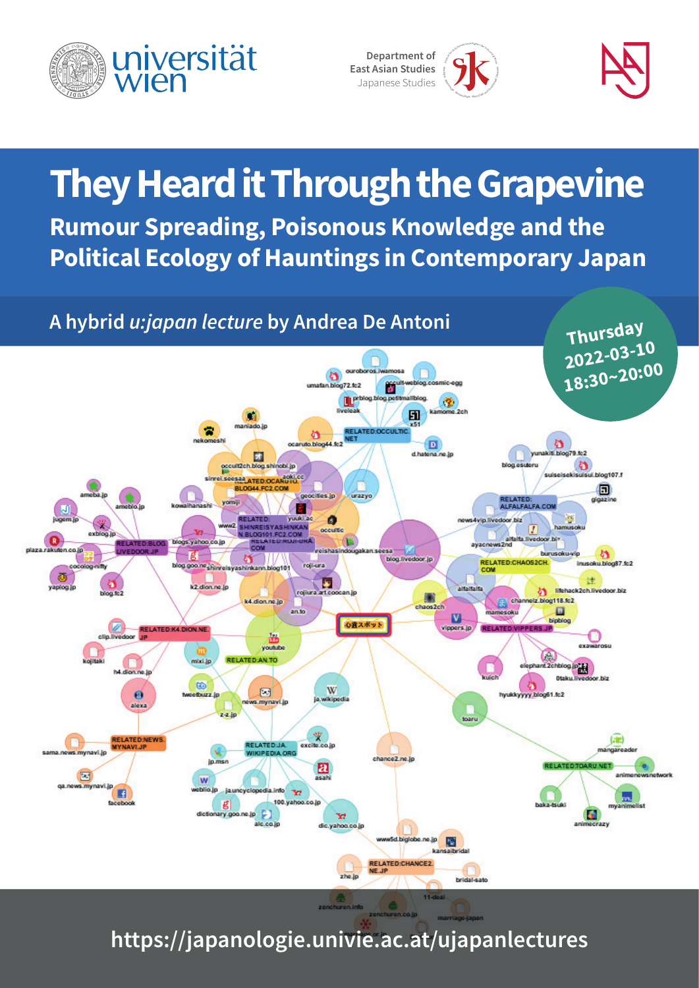

ogie . Japanelogie  $J_{\lambda}$ Institut für Ostasien<br>Institut Wie Ostasien **Dep artment of East Asian Studies** Japanese Studies

## **They Heard it Through the Grapevine Rumour Spreading, Poisonous Knowledge and the Political Ecology of Hauntings in Contemporary Japan**



**[https://japanologie.univie.ac.at/ujapanlectures](https://japanologie.univie.ac.at/ujapanlectures/
)**